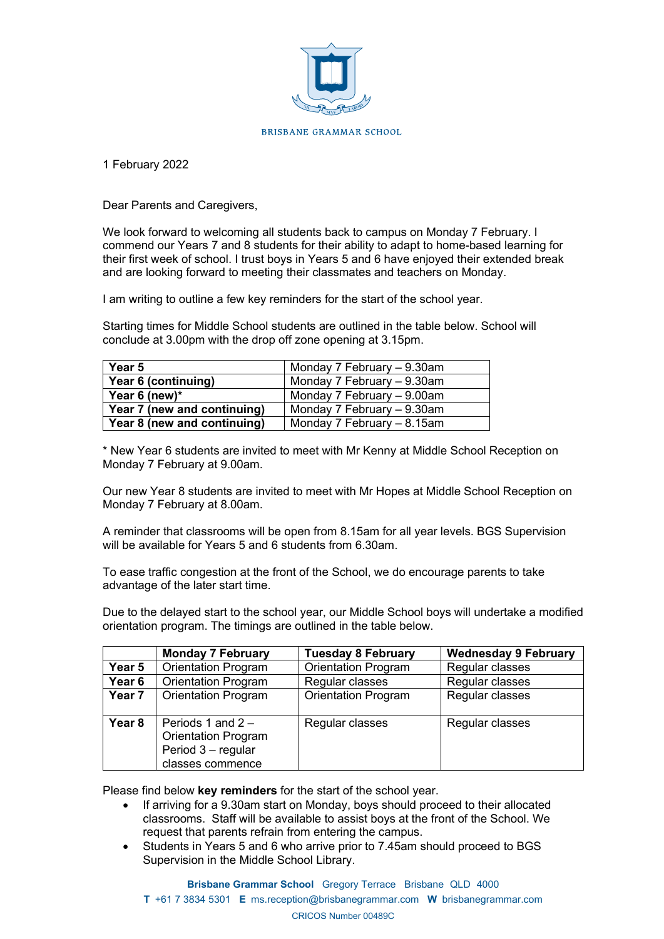

1 February 2022

Dear Parents and Caregivers,

We look forward to welcoming all students back to campus on Monday 7 February. I commend our Years 7 and 8 students for their ability to adapt to home-based learning for their first week of school. I trust boys in Years 5 and 6 have enjoyed their extended break and are looking forward to meeting their classmates and teachers on Monday.

I am writing to outline a few key reminders for the start of the school year.

Starting times for Middle School students are outlined in the table below. School will conclude at 3.00pm with the drop off zone opening at 3.15pm.

| Year 5                                                      | Monday 7 February - 9.30am   |  |
|-------------------------------------------------------------|------------------------------|--|
| Year 6 (continuing)                                         | Monday 7 February - 9.30am   |  |
| Year 6 (new) $*$                                            | Monday 7 February $-9.00$ am |  |
| Year 7 (new and continuing)<br>Monday 7 February - 9.30am   |                              |  |
| Year 8 (new and continuing)<br>Monday 7 February $-8.15$ am |                              |  |

\* New Year 6 students are invited to meet with Mr Kenny at Middle School Reception on Monday 7 February at 9.00am.

Our new Year 8 students are invited to meet with Mr Hopes at Middle School Reception on Monday 7 February at 8.00am.

A reminder that classrooms will be open from 8.15am for all year levels. BGS Supervision will be available for Years 5 and 6 students from 6 30am.

To ease traffic congestion at the front of the School, we do encourage parents to take advantage of the later start time.

Due to the delayed start to the school year, our Middle School boys will undertake a modified orientation program. The timings are outlined in the table below.

|                   | <b>Monday 7 February</b>                                                                    | <b>Tuesday 8 February</b>  | <b>Wednesday 9 February</b> |
|-------------------|---------------------------------------------------------------------------------------------|----------------------------|-----------------------------|
| Year 5            | <b>Orientation Program</b>                                                                  | <b>Orientation Program</b> | Regular classes             |
| Year <sub>6</sub> | <b>Orientation Program</b>                                                                  | Regular classes            | Regular classes             |
| Year <sub>7</sub> | <b>Orientation Program</b>                                                                  | <b>Orientation Program</b> | Regular classes             |
| Year <sub>8</sub> | Periods 1 and $2 -$<br><b>Orientation Program</b><br>Period 3 - regular<br>classes commence | Regular classes            | Regular classes             |

Please find below **key reminders** for the start of the school year.

- If arriving for a 9.30am start on Monday, boys should proceed to their allocated classrooms. Staff will be available to assist boys at the front of the School. We request that parents refrain from entering the campus.
- Students in Years 5 and 6 who arrive prior to 7.45am should proceed to BGS Supervision in the Middle School Library.